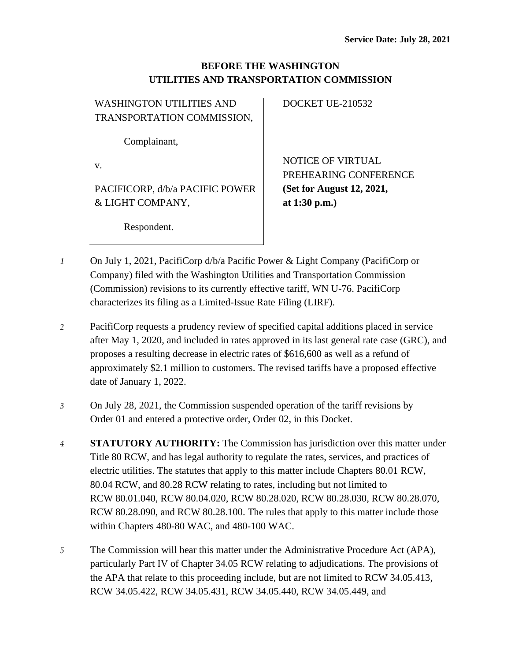## **BEFORE THE WASHINGTON UTILITIES AND TRANSPORTATION COMMISSION**

| <b>WASHINGTON UTILITIES AND</b> | DOCKET UE-210532          |
|---------------------------------|---------------------------|
| TRANSPORTATION COMMISSION,      |                           |
|                                 |                           |
| Complainant,                    |                           |
|                                 | <b>NOTICE OF VIRTUAL</b>  |
| v.                              |                           |
|                                 | PREHEARING CONFERENCE     |
| PACIFICORP, d/b/a PACIFIC POWER | (Set for August 12, 2021, |
| & LIGHT COMPANY,                | at $1:30$ p.m.)           |
|                                 |                           |
| Respondent.                     |                           |
|                                 |                           |

- *1* On July 1, 2021, PacifiCorp d/b/a Pacific Power & Light Company (PacifiCorp or Company) filed with the Washington Utilities and Transportation Commission (Commission) revisions to its currently effective tariff, WN U-76. PacifiCorp characterizes its filing as a Limited-Issue Rate Filing (LIRF).
- *2* PacifiCorp requests a prudency review of specified capital additions placed in service after May 1, 2020, and included in rates approved in its last general rate case (GRC), and proposes a resulting decrease in electric rates of \$616,600 as well as a refund of approximately \$2.1 million to customers. The revised tariffs have a proposed effective date of January 1, 2022.
- *3* On July 28, 2021, the Commission suspended operation of the tariff revisions by Order 01 and entered a protective order, Order 02, in this Docket.
- *4* **STATUTORY AUTHORITY:** The Commission has jurisdiction over this matter under Title 80 RCW, and has legal authority to regulate the rates, services, and practices of electric utilities. The statutes that apply to this matter include Chapters 80.01 RCW, 80.04 RCW, and 80.28 RCW relating to rates, including but not limited to RCW 80.01.040, RCW 80.04.020, RCW 80.28.020, RCW 80.28.030, RCW 80.28.070, RCW 80.28.090, and RCW 80.28.100. The rules that apply to this matter include those within Chapters 480-80 WAC, and 480-100 WAC.
- *5* The Commission will hear this matter under the Administrative Procedure Act (APA), particularly Part IV of Chapter 34.05 RCW relating to adjudications. The provisions of the APA that relate to this proceeding include, but are not limited to RCW 34.05.413, RCW 34.05.422, RCW 34.05.431, RCW 34.05.440, RCW 34.05.449, and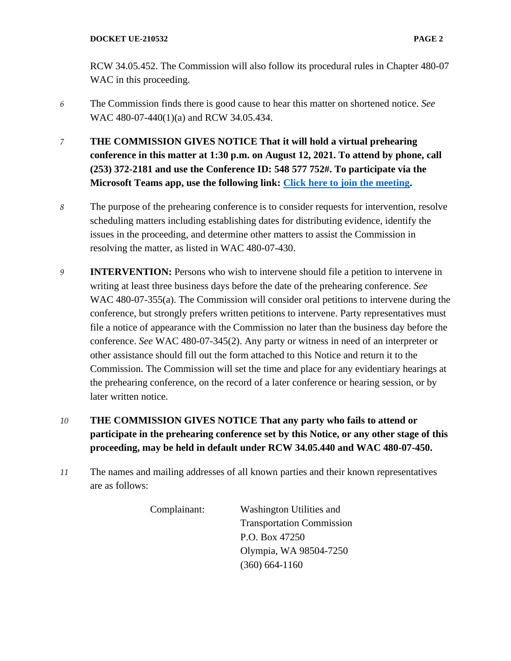RCW 34.05.452. The Commission will also follow its procedural rules in Chapter 480-07 WAC in this proceeding.

- *6* The Commission finds there is good cause to hear this matter on shortened notice. *See*  WAC 480-07-440(1)(a) and RCW 34.05.434.
- *7* **THE COMMISSION GIVES NOTICE That it will hold a virtual prehearing conference in this matter at 1:30 p.m. on August 12, 2021. To attend by phone, call (253) 372-2181 and use the Conference ID: 548 577 752#. To participate via the Microsoft Teams app, use the following link: [Click here to join the meeting.](https://teams.microsoft.com/l/meetup-join/19%3ameeting_OGJhNjY1ZDQtMjhiMC00NWQ5LWJhZTYtODJhMTkyMWM1NDFk%40thread.v2/0?context=%7b%22Tid%22%3a%2211d0e217-264e-400a-8ba0-57dcc127d72d%22%2c%22Oid%22%3a%22e087eca4-4cd8-416f-8fc0-53ed60dbc833%22%7d)**
- *8* The purpose of the prehearing conference is to consider requests for intervention, resolve scheduling matters including establishing dates for distributing evidence, identify the issues in the proceeding, and determine other matters to assist the Commission in resolving the matter, as listed in WAC 480-07-430.
- *9* **INTERVENTION:** Persons who wish to intervene should file a petition to intervene in writing at least three business days before the date of the prehearing conference. *See* WAC 480-07-355(a). The Commission will consider oral petitions to intervene during the conference, but strongly prefers written petitions to intervene. Party representatives must file a notice of appearance with the Commission no later than the business day before the conference. *See* WAC 480-07-345(2). Any party or witness in need of an interpreter or other assistance should fill out the form attached to this Notice and return it to the Commission. The Commission will set the time and place for any evidentiary hearings at the prehearing conference, on the record of a later conference or hearing session, or by later written notice.
- *10* **THE COMMISSION GIVES NOTICE That any party who fails to attend or participate in the prehearing conference set by this Notice, or any other stage of this proceeding, may be held in default under RCW 34.05.440 and WAC 480-07-450.**
- *11* The names and mailing addresses of all known parties and their known representatives are as follows:

Complainant: Washington Utilities and Transportation Commission P.O. Box 47250 Olympia, WA 98504-7250 (360) 664-1160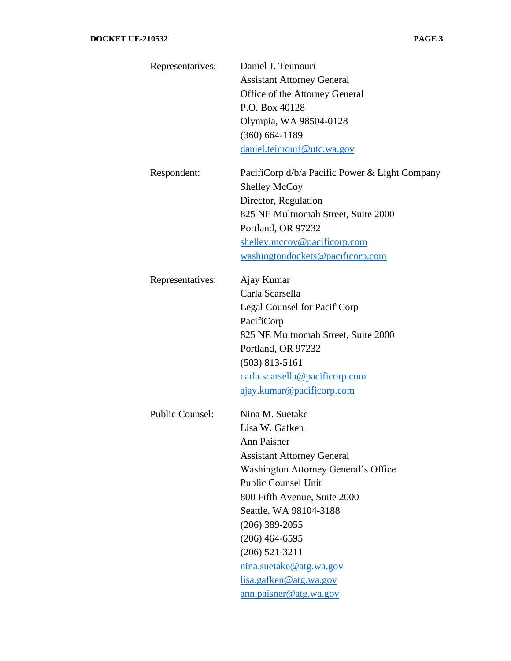| Representatives:       | Daniel J. Teimouri                             |  |  |
|------------------------|------------------------------------------------|--|--|
|                        | <b>Assistant Attorney General</b>              |  |  |
|                        | Office of the Attorney General                 |  |  |
|                        | P.O. Box 40128                                 |  |  |
|                        | Olympia, WA 98504-0128                         |  |  |
|                        | $(360) 664 - 1189$                             |  |  |
|                        | daniel.teimouri@utc.wa.gov                     |  |  |
| Respondent:            | PacifiCorp d/b/a Pacific Power & Light Company |  |  |
|                        | <b>Shelley McCoy</b>                           |  |  |
|                        | Director, Regulation                           |  |  |
|                        | 825 NE Multnomah Street, Suite 2000            |  |  |
|                        | Portland, OR 97232                             |  |  |
|                        | shelley.mccoy@pacificorp.com                   |  |  |
|                        | washingtondockets@pacificorp.com               |  |  |
| Representatives:       | Ajay Kumar                                     |  |  |
|                        | Carla Scarsella                                |  |  |
|                        | Legal Counsel for PacifiCorp                   |  |  |
|                        | PacifiCorp                                     |  |  |
|                        | 825 NE Multnomah Street, Suite 2000            |  |  |
|                        | Portland, OR 97232                             |  |  |
|                        | $(503)$ 813-5161                               |  |  |
|                        | carla.scarsella@pacificorp.com                 |  |  |
|                        | ajay.kumar@pacificorp.com                      |  |  |
| <b>Public Counsel:</b> | Nina M. Suetake                                |  |  |
|                        | Lisa W. Gafken                                 |  |  |
|                        | <b>Ann Paisner</b>                             |  |  |
|                        | <b>Assistant Attorney General</b>              |  |  |
|                        | Washington Attorney General's Office           |  |  |
|                        | <b>Public Counsel Unit</b>                     |  |  |
|                        | 800 Fifth Avenue, Suite 2000                   |  |  |
|                        | Seattle, WA 98104-3188                         |  |  |
|                        | $(206)$ 389-2055                               |  |  |
|                        | $(206)$ 464-6595                               |  |  |
|                        | $(206)$ 521-3211                               |  |  |
|                        | nina.suetake@atg.wa.gov                        |  |  |
|                        | lisa.gafken@atg.wa.gov                         |  |  |
|                        | ann.paisner@atg.wa.gov                         |  |  |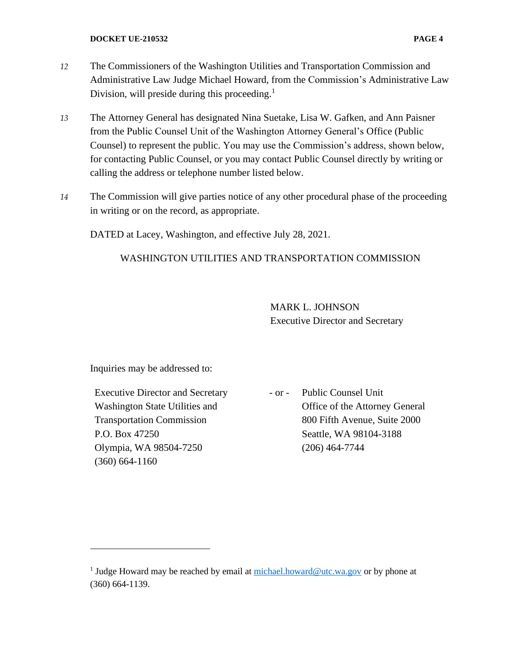- *12* The Commissioners of the Washington Utilities and Transportation Commission and Administrative Law Judge Michael Howard, from the Commission's Administrative Law
- *13* The Attorney General has designated Nina Suetake, Lisa W. Gafken, and Ann Paisner from the Public Counsel Unit of the Washington Attorney General's Office (Public Counsel) to represent the public. You may use the Commission's address, shown below, for contacting Public Counsel, or you may contact Public Counsel directly by writing or calling the address or telephone number listed below.
- *14* The Commission will give parties notice of any other procedural phase of the proceeding in writing or on the record, as appropriate.

DATED at Lacey, Washington, and effective July 28, 2021.

Division, will preside during this proceeding.<sup>1</sup>

## WASHINGTON UTILITIES AND TRANSPORTATION COMMISSION

MARK L. JOHNSON Executive Director and Secretary

Inquiries may be addressed to:

Executive Director and Secretary Washington State Utilities and Transportation Commission P.O. Box 47250 Olympia, WA 98504-7250 (360) 664-1160

- or - Public Counsel Unit Office of the Attorney General 800 Fifth Avenue, Suite 2000 Seattle, WA 98104-3188 (206) 464-7744

<sup>&</sup>lt;sup>1</sup> Judge Howard may be reached by email at  $min$ hael.howard@utc.wa.gov or by phone at (360) 664-1139.